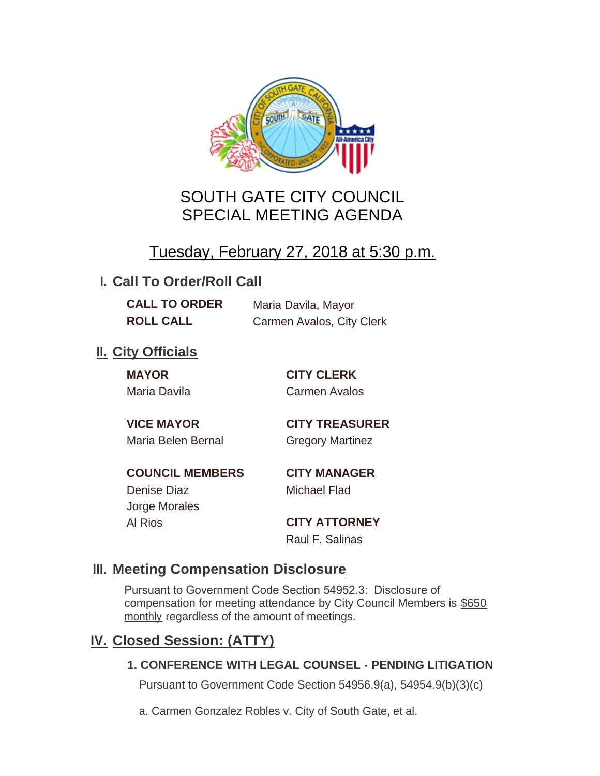

# SOUTH GATE CITY COUNCIL SPECIAL MEETING AGENDA

# Tuesday, February 27, 2018 at 5:30 p.m.

# **I. Call To Order/Roll Call**

**CALL TO ORDER** Maria Davila, Mayor **ROLL CALL** Carmen Avalos, City Clerk

# **II.** City Officials

**MAYOR CITY CLERK**

Maria Davila Carmen Avalos

Maria Belen Bernal Gregory Martinez

**VICE MAYOR CITY TREASURER**

**COUNCIL MEMBERS CITY MANAGER** Denise Diaz Michael Flad Jorge Morales

Al Rios **CITY ATTORNEY**

Raul F. Salinas

### **Meeting Compensation Disclosure III.**

Pursuant to Government Code Section 54952.3: Disclosure of compensation for meeting attendance by City Council Members is \$650 monthly regardless of the amount of meetings.

### **Closed Session: (ATTY) IV.**

#### **1. CONFERENCE WITH LEGAL COUNSEL - PENDING LITIGATION**

Pursuant to Government Code Section 54956.9(a), 54954.9(b)(3)(c)

a. Carmen Gonzalez Robles v. City of South Gate, et al.